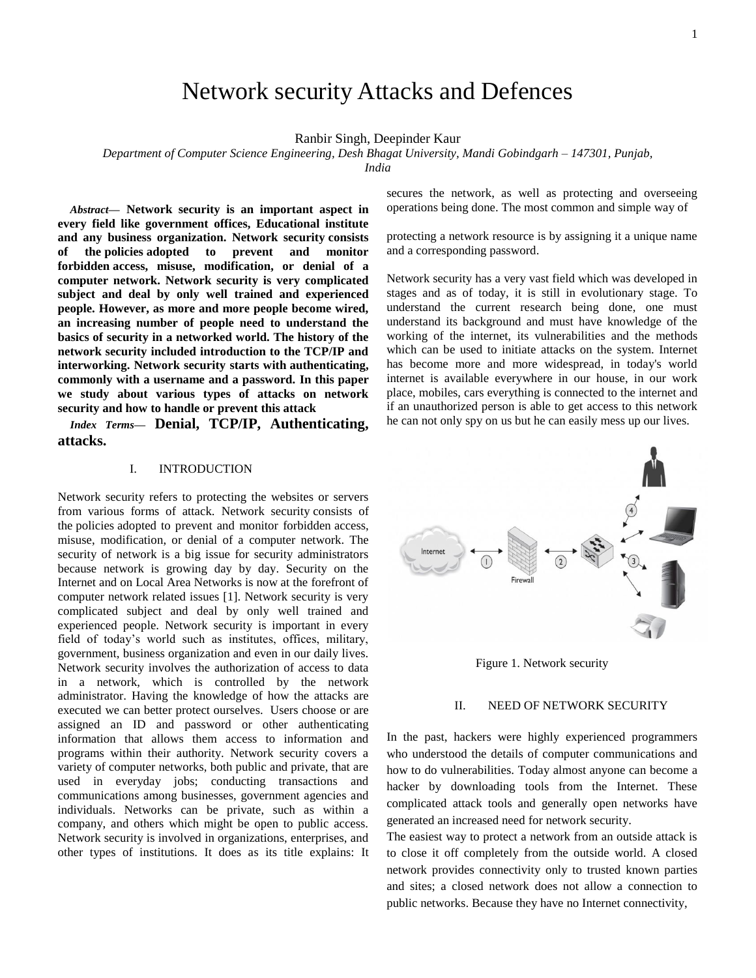# Network security Attacks and Defences

Ranbir Singh, Deepinder Kaur

*Department of Computer Science Engineering, Desh Bhagat University, Mandi Gobindgarh – 147301, Punjab,* 

*India*

*Abstract***— Network security is an important aspect in every field like government offices, Educational institute and any business organization. Network security consists of the [policies](https://en.wikipedia.org/wiki/Policies) adopted to prevent and monitor forbidden access, misuse, modification, or denial of a [computer network.](https://en.wikipedia.org/wiki/Computer_network) Network security is very complicated subject and deal by only well trained and experienced people. However, as more and more people become wired, an increasing number of people need to understand the basics of security in a networked world. The history of the network security included introduction to the TCP/IP and interworking. Network security starts with [authenticating,](https://en.wikipedia.org/wiki/Authentication)  commonly with a username and a password. In this paper we study about various types of attacks on network security and how to handle or prevent this attack**

*Index Terms***— Denial, TCP/IP, Authenticating, attacks.**

#### I. INTRODUCTION

Network security refers to protecting the websites or servers from various forms of attack. Network security consists of the [policies](https://en.wikipedia.org/wiki/Policies) adopted to prevent and monitor forbidden access, misuse, modification, or denial of a [computer network.](https://en.wikipedia.org/wiki/Computer_network) The security of network is a big issue for security administrators because network is growing day by day. Security on the Internet and on Local Area Networks is now at the forefront of computer network related issues [1]. Network security is very complicated subject and deal by only well trained and experienced people. Network security is important in every field of today's world such as institutes, offices, military, government, business organization and even in our daily lives. Network security involves the authorization of access to data in a network, which is controlled by the network administrator. Having the knowledge of how the attacks are executed we can better protect ourselves. Users choose or are assigned an ID and password or other authenticating information that allows them access to information and programs within their authority. Network security covers a variety of computer networks, both public and private, that are used in everyday jobs; conducting transactions and communications among businesses, government agencies and individuals. Networks can be private, such as within a company, and others which might be open to public access. Network security is involved in organizations, enterprises, and other types of institutions. It does as its title explains: It secures the network, as well as protecting and overseeing operations being done. The most common and simple way of

protecting a network resource is by assigning it a unique name and a corresponding password.

Network security has a very vast field which was developed in stages and as of today, it is still in evolutionary stage. To understand the current research being done, one must understand its background and must have knowledge of the working of the internet, its vulnerabilities and the methods which can be used to initiate attacks on the system. Internet has become more and more widespread, in today's world internet is available everywhere in our house, in our work place, mobiles, cars everything is connected to the internet and if an unauthorized person is able to get access to this network he can not only spy on us but he can easily mess up our lives.



Figure 1. Network security

# II. NEED OF NETWORK SECURITY

In the past, hackers were highly experienced programmers who understood the details of computer communications and how to do vulnerabilities. Today almost anyone can become a hacker by downloading tools from the Internet. These complicated attack tools and generally open networks have generated an increased need for network security.

The easiest way to protect a network from an outside attack is to close it off completely from the outside world. A closed network provides connectivity only to trusted known parties and sites; a closed network does not allow a connection to public networks. Because they have no Internet connectivity,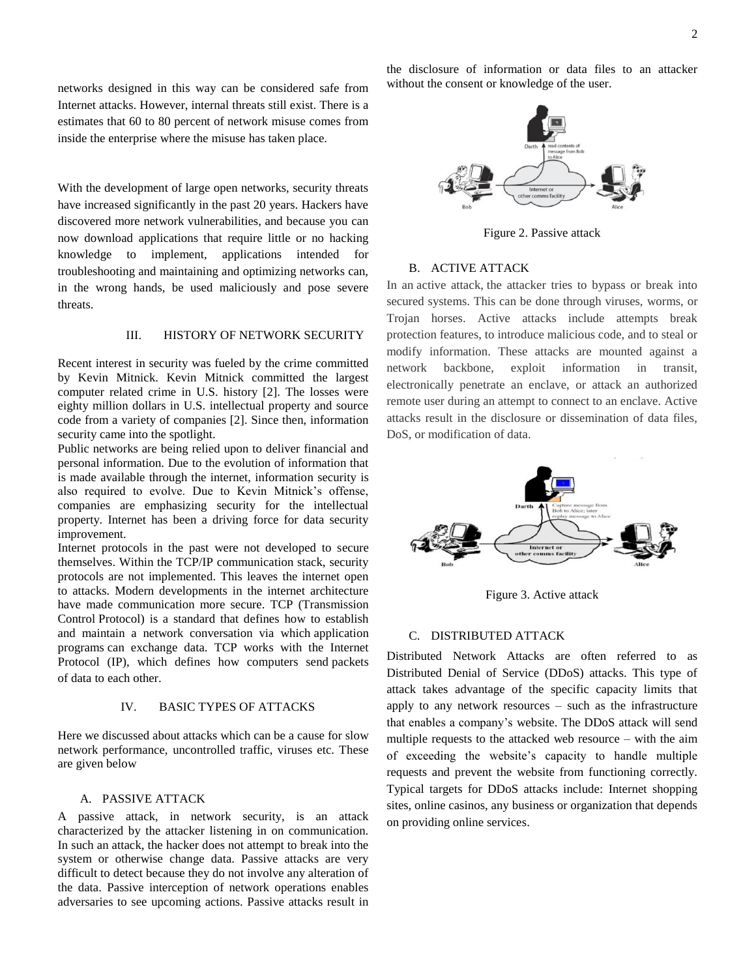networks designed in this way can be considered safe from Internet attacks. However, internal threats still exist. There is a estimates that 60 to 80 percent of network misuse comes from inside the enterprise where the misuse has taken place.

With the development of large open networks, security threats have increased significantly in the past 20 years. Hackers have discovered more network vulnerabilities, and because you can now download applications that require little or no hacking knowledge to implement, applications intended for troubleshooting and maintaining and optimizing networks can, in the wrong hands, be used maliciously and pose severe threats.

# III. HISTORY OF NETWORK SECURITY

Recent interest in security was fueled by the crime committed by Kevin Mitnick. Kevin Mitnick committed the largest computer related crime in U.S. history [2]. The losses were eighty million dollars in U.S. intellectual property and source code from a variety of companies [2]. Since then, information security came into the spotlight.

Public networks are being relied upon to deliver financial and personal information. Due to the evolution of information that is made available through the internet, information security is also required to evolve. Due to Kevin Mitnick's offense, companies are emphasizing security for the intellectual property. Internet has been a driving force for data security improvement.

Internet protocols in the past were not developed to secure themselves. Within the TCP/IP communication stack, security protocols are not implemented. This leaves the internet open to attacks. Modern developments in the internet architecture have made communication more secure. TCP (Transmission Control [Protocol\)](http://searchnetworking.techtarget.com/definition/protocol) is a standard that defines how to establish and maintain a network conversation via which [application](http://searchsoftwarequality.techtarget.com/definition/application-program)  [programs](http://searchsoftwarequality.techtarget.com/definition/application-program) can exchange data. TCP works with the Internet Protocol [\(IP\)](http://searchunifiedcommunications.techtarget.com/definition/Internet-Protocol), which defines how computers send [packets](http://searchnetworking.techtarget.com/definition/packet) of [data](http://searchdatamanagement.techtarget.com/definition/data) to each other.

# IV. BASIC TYPES OF ATTACKS

Here we discussed about attacks which can be a cause for slow network performance, uncontrolled traffic, viruses etc. These are given below

# A. PASSIVE ATTACK

A passive attack, in network security, is an attack characterized by the attacker listening in on communication. In such an attack, the hacker does not attempt to break into the system or otherwise change data. Passive attacks are very difficult to detect because they do not involve any alteration of the data. Passive interception of network operations enables adversaries to see upcoming actions. Passive attacks result in the disclosure of information or data files to an attacker without the consent or knowledge of the user.



Figure 2. Passive attack

# B. ACTIVE ATTACK

In an active attack, the attacker tries to bypass or break into secured systems. This can be done through viruses, worms, or Trojan horses. Active attacks include attempts break protection features, to introduce malicious code, and to steal or modify information. These attacks are mounted against a network backbone, exploit information in transit, electronically penetrate an enclave, or attack an authorized remote user during an attempt to connect to an enclave. Active attacks result in the disclosure or dissemination of data files, DoS, or modification of data.



Figure 3. Active attack

### C. DISTRIBUTED ATTACK

Distributed Network Attacks are often referred to as Distributed Denial of Service (DDoS) attacks. This type of attack takes advantage of the specific capacity limits that apply to any network resources – such as the infrastructure that enables a company's website. The DDoS attack will send multiple requests to the attacked web resource – with the aim of exceeding the website's capacity to handle multiple requests and prevent the website from functioning correctly. Typical targets for DDoS attacks include: Internet shopping sites, online casinos, any business or organization that depends on providing online services.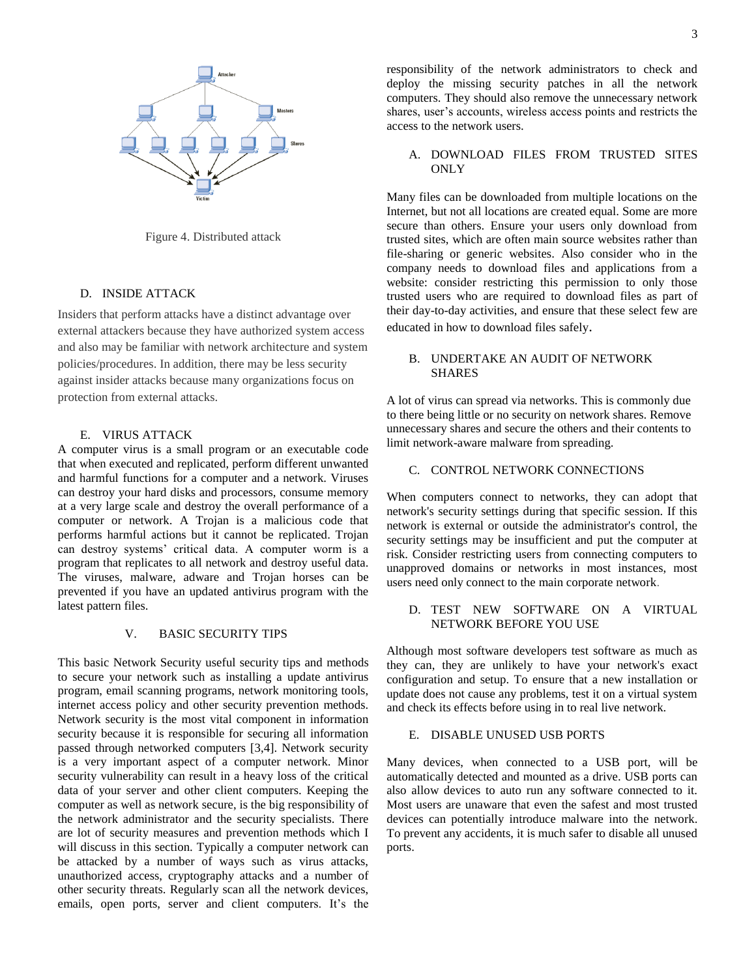

Figure 4. Distributed attack

# D. INSIDE ATTACK

Insiders that perform attacks have a distinct advantage over external attackers because they have authorized system access and also may be familiar with network architecture and system policies/procedures. In addition, there may be less security against insider attacks because many organizations focus on protection from external attacks.

# E. VIRUS ATTACK

A computer virus is a small program or an executable code that when executed and replicated, perform different unwanted and harmful functions for a computer and a network. Viruses can destroy your hard disks and processors, consume memory at a very large scale and destroy the overall performance of a computer or network. A Trojan is a malicious code that performs harmful actions but it cannot be replicated. Trojan can destroy systems' critical data. A computer worm is a program that replicates to all network and destroy useful data. The viruses, malware, adware and Trojan horses can be prevented if you have an updated antivirus program with the latest pattern files.

# V. BASIC SECURITY TIPS

This basic Network Security useful security tips and methods to secure your network such as installing a update antivirus program, email scanning programs, network monitoring tools, internet access policy and other security prevention methods. Network security is the most vital component in information security because it is responsible for securing all information passed through networked computers [3,4]. Network security is a very important aspect of a computer network. Minor security vulnerability can result in a heavy loss of the critical data of your server and other client computers. Keeping the computer as well as network secure, is the big responsibility of the network administrator and the security specialists. There are lot of security measures and prevention methods which I will discuss in this section. Typically a computer network can be attacked by a number of ways such as virus attacks, unauthorized access, cryptography attacks and a number of other security threats. Regularly scan all the network devices, emails, open ports, server and client computers. It's the responsibility of the network administrators to check and deploy the missing security patches in all the network computers. They should also remove the unnecessary network shares, user's accounts, wireless access points and restricts the access to the network users.

# A. DOWNLOAD FILES FROM TRUSTED SITES ONLY

Many files can be downloaded from multiple locations on the Internet, but not all locations are created equal. Some are more secure than others. Ensure your users only download from trusted sites, which are often main source websites rather than file-sharing or generic websites. Also consider who in the company needs to download files and applications from a website: consider restricting this permission to only those trusted users who are required to download files as part of their day-to-day activities, and ensure that these select few are educated in how to download files safely.

## B. UNDERTAKE AN AUDIT OF NETWORK **SHARES**

A lot of virus can spread via networks. This is commonly due to there being little or no security on network shares. Remove unnecessary shares and secure the others and their contents to limit network-aware malware from spreading.

# C. CONTROL NETWORK CONNECTIONS

When computers connect to networks, they can adopt that network's security settings during that specific session. If this network is external or outside the administrator's control, the security settings may be insufficient and put the computer at risk. Consider restricting users from connecting computers to unapproved domains or networks in most instances, most users need only connect to the main corporate network.

# D. TEST NEW SOFTWARE ON A VIRTUAL NETWORK BEFORE YOU USE

Although most software developers test software as much as they can, they are unlikely to have your network's exact configuration and setup. To ensure that a new installation or update does not cause any problems, test it on a virtual system and check its effects before using in to real live network.

# E. DISABLE UNUSED USB PORTS

Many devices, when connected to a USB port, will be automatically detected and mounted as a drive. USB ports can also allow devices to auto run any software connected to it. Most users are unaware that even the safest and most trusted devices can potentially introduce malware into the network. To prevent any accidents, it is much safer to disable all unused ports.